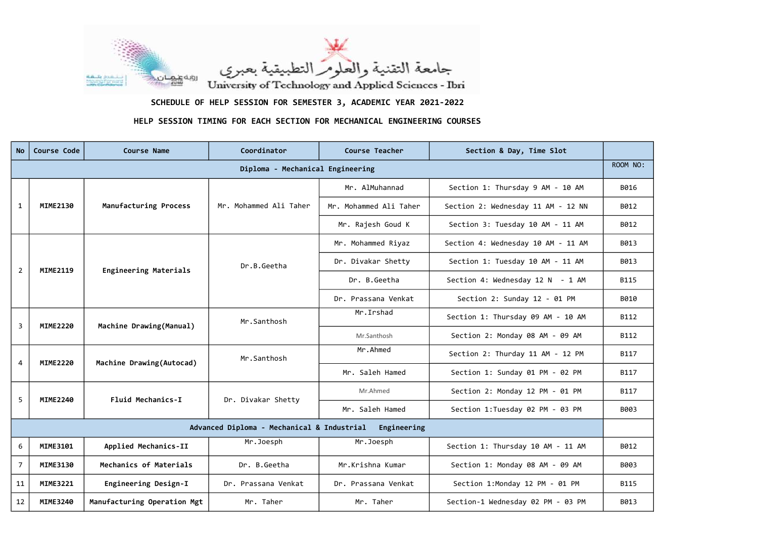| <b>No</b>                                              | Course Code     | <b>Course Name</b>           | Coordinator            | Course Teacher         | Section & Day, Time Slot           |             |  |  |  |
|--------------------------------------------------------|-----------------|------------------------------|------------------------|------------------------|------------------------------------|-------------|--|--|--|
| Diploma - Mechanical Engineering                       |                 |                              |                        |                        |                                    |             |  |  |  |
| $\mathbf{1}$                                           | <b>MIME2130</b> | Manufacturing Process        | Mr. Mohammed Ali Taher | Mr. AlMuhannad         | Section 1: Thursday 9 AM - 10 AM   | B016        |  |  |  |
|                                                        |                 |                              |                        | Mr. Mohammed Ali Taher | Section 2: Wednesday 11 AM - 12 NN | B012        |  |  |  |
|                                                        |                 |                              |                        | Mr. Rajesh Goud K      | Section 3: Tuesday 10 AM - 11 AM   | B012        |  |  |  |
| $\overline{2}$                                         | <b>MIME2119</b> | <b>Engineering Materials</b> | Dr.B.Geetha            | Mr. Mohammed Riyaz     | Section 4: Wednesday 10 AM - 11 AM | B013        |  |  |  |
|                                                        |                 |                              |                        | Dr. Divakar Shetty     | Section 1: Tuesday 10 AM - 11 AM   | B013        |  |  |  |
|                                                        |                 |                              |                        | Dr. B.Geetha           | Section 4: Wednesday 12 N - 1 AM   | <b>B115</b> |  |  |  |
|                                                        |                 |                              |                        | Dr. Prassana Venkat    | Section 2: Sunday 12 - 01 PM       | B010        |  |  |  |
| $\overline{3}$                                         | <b>MIME2220</b> | Machine Drawing(Manual)      | Mr.Santhosh            | Mr.Irshad              | Section 1: Thursday 09 AM - 10 AM  | <b>B112</b> |  |  |  |
|                                                        |                 |                              |                        | Mr.Santhosh            | Section 2: Monday 08 AM - 09 AM    | B112        |  |  |  |
| $\overline{4}$                                         | <b>MIME2220</b> | Machine Drawing(Autocad)     | Mr.Santhosh            | Mr.Ahmed               | Section 2: Thurday 11 AM - 12 PM   | B117        |  |  |  |
|                                                        |                 |                              |                        | Mr. Saleh Hamed        | Section 1: Sunday 01 PM - 02 PM    | <b>B117</b> |  |  |  |
| 5                                                      | <b>MIME2240</b> | Fluid Mechanics-I            | Dr. Divakar Shetty     | Mr.Ahmed               | Section 2: Monday 12 PM - 01 PM    | B117        |  |  |  |
|                                                        |                 |                              |                        | Mr. Saleh Hamed        | Section 1: Tuesday 02 PM - 03 PM   | B003        |  |  |  |
| Advanced Diploma - Mechanical & Industrial Engineering |                 |                              |                        |                        |                                    |             |  |  |  |
| 6                                                      | <b>MIME3101</b> | Applied Mechanics-II         | Mr.Joesph              | Mr.Joesph              | Section 1: Thursday 10 AM - 11 AM  | B012        |  |  |  |
| 7                                                      | <b>MIME3130</b> | Mechanics of Materials       | Dr. B.Geetha           | Mr.Krishna Kumar       | Section 1: Monday 08 AM - 09 AM    | B003        |  |  |  |
| 11                                                     | <b>MIME3221</b> | Engineering Design-I         | Dr. Prassana Venkat    | Dr. Prassana Venkat    | Section 1: Monday 12 PM - 01 PM    | <b>B115</b> |  |  |  |
| 12                                                     | <b>MIME3240</b> | Manufacturing Operation Mgt  | Mr. Taher              | Mr. Taher              | Section-1 Wednesday 02 PM - 03 PM  | B013        |  |  |  |



SCHEDULE OF HELP SESSION FOR SEMESTER 3, ACADEMIC YEAR 2021-2022

## HELP SESSION TIMING FOR EACH SECTION FOR MECHANICAL ENGINEERING COURSES